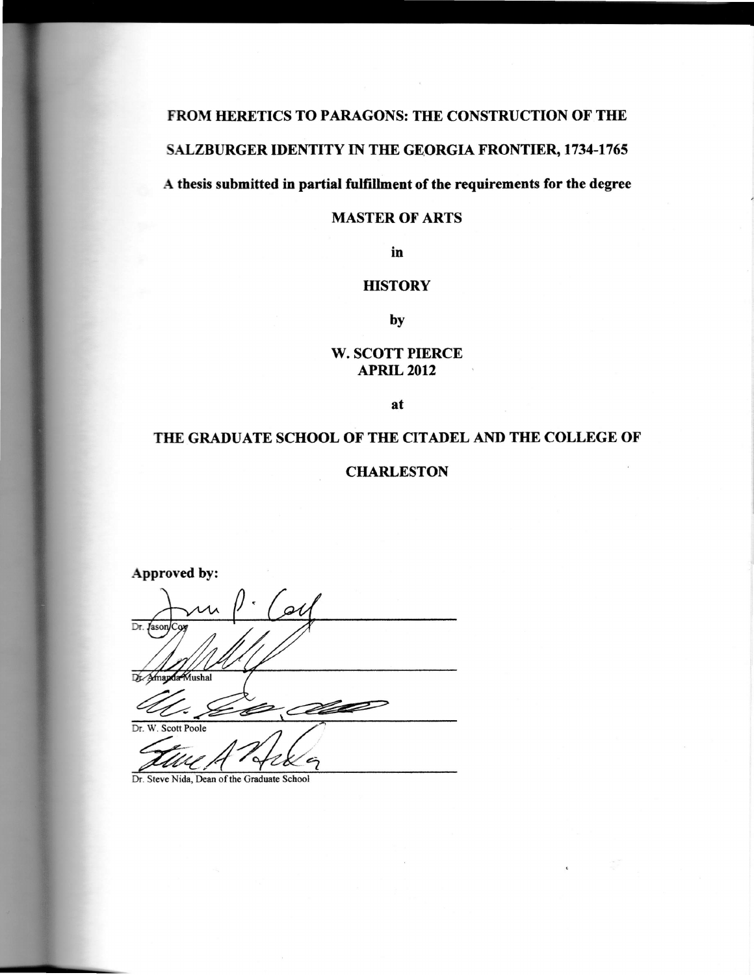# FROM HERETICS TO PARAGONS: THE CONSTRUCTION OF THE SALZBURGER IDENTITY IN THE GEORGIA FRONTIER, 1734-1765

A thesis submitted in partial fulfillment of the requirements for the degree

## MASTER OF ARTS

in

# **HISTORY**

by

### W. SCOTT PIERCE APRIL 2012

at

# THE GRADUATE SCHOOL OF THE CITADEL AND THE COLLEGE OF

### **CHARLESTON**

Approved by: $\alpha$ Dr. Jason Dr. Amapda Mushal Ø Dr. W. Scott Poole

Dr. Steve Nida, Dean of the Graduate School

L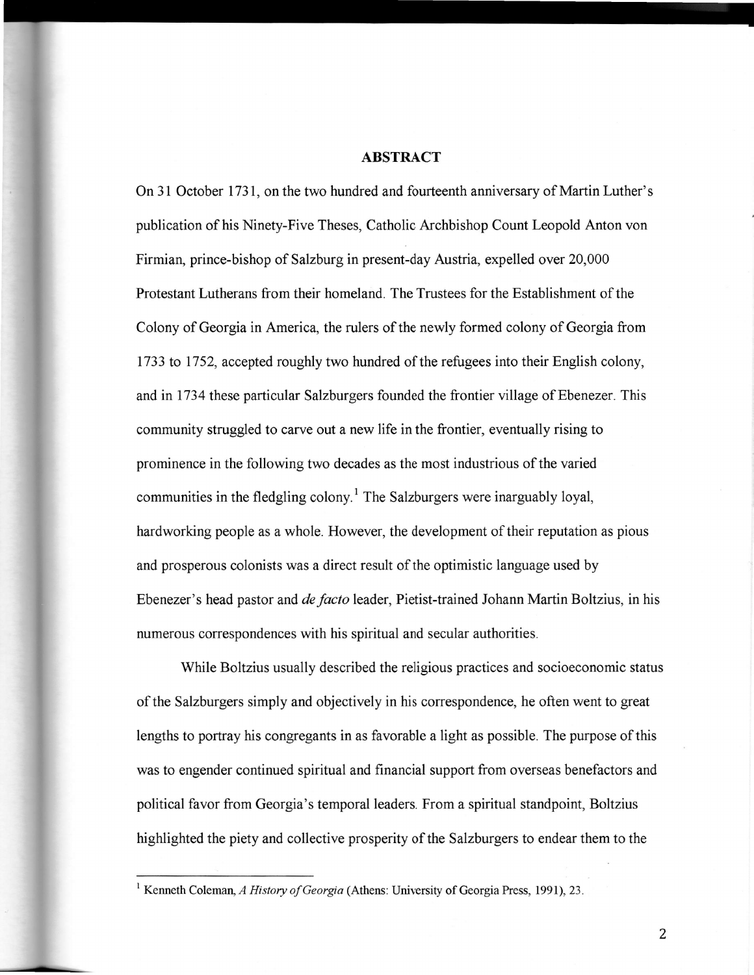#### ABSTRACT

On 31 October 1731, on the two hundred and fourteenth anniversary of Martin Luther's publication of his Ninety-Five Theses, Catholic Archbishop Count Leopold Anton von Firmian, prince-bishop of Salzburg in present-day Austria, expelled over 20,000 Protestant Lutherans from their homeland. The Trustees for the Establishment of the Colony of Georgia in America, the rulers of the newly formed colony of Georgia from <sup>1733</sup>to 1752, accepted roughly two hundred of the refugees into their English colony, and in 1734 these particular Salzburgers founded the frontier village of Ebenezer. This community struggled to carve out a new life in the frontier, eventually rising to prominence in the following two decades as the most industrious of the varied communities in the fledgling colony.<sup>1</sup> The Salzburgers were inarguably loyal hardworking people as a whole. However, the development of their reputation as pious and prosperous colonists was a direct result of the optimistic language used by Ebenezer's head pastor and *de facto* leader, Pietist-trained Johann Martin Boltzius, in his numerous correspondences with his spiritual and secular authorities.

While Boltzius usually described the religious practices and socioeconomic status of the Salzburgers simply and objectively in his correspondence, he often went to great lengths to portray his congregants in as favorable a light as possible. The purpose of this was to engender continued spiritual and financial support from overseas benefactors and political favor from Georgia's temporal leaders. From a spiritual standpoint, Boltzius highlighted the piety and collective prosperity of the Salzburgers to endear them to the

2

<sup>&</sup>lt;sup>1</sup> Kenneth Coleman, A History of Georgia (Athens: University of Georgia Press, 1991), 23.